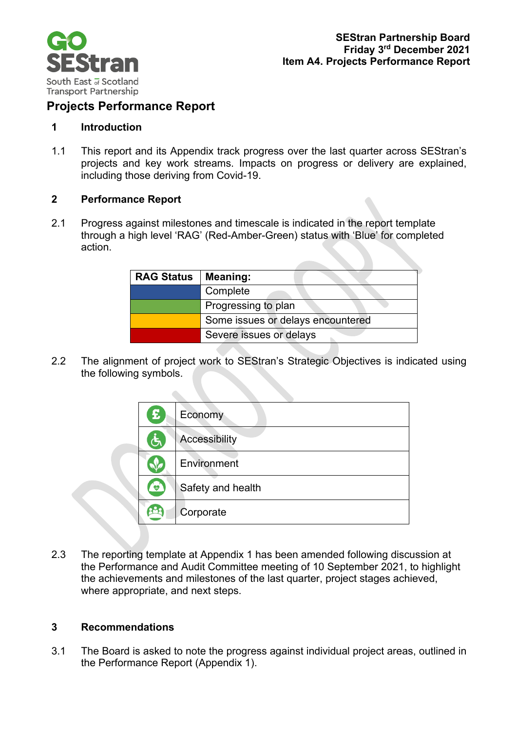

## **Projects Performance Report**

#### **1 Introduction**

1.1 This report and its Appendix track progress over the last quarter across SEStran's projects and key work streams. Impacts on progress or delivery are explained, including those deriving from Covid-19.

#### **2 Performance Report**

2.1 Progress against milestones and timescale is indicated in the report template through a high level 'RAG' (Red-Amber-Green) status with 'Blue' for completed action.

| <b>RAG Status</b> | <b>Meaning:</b>                   |
|-------------------|-----------------------------------|
|                   | Complete                          |
|                   | Progressing to plan               |
|                   | Some issues or delays encountered |
|                   | Severe issues or delays           |

2.2 The alignment of project work to SEStran's Strategic Objectives is indicated using the following symbols.

 $\bullet$ 

| £            | Economy              |
|--------------|----------------------|
| $\mathbf{r}$ | <b>Accessibility</b> |
|              | Environment          |
| $\mathbb{Q}$ | Safety and health    |
|              | Corporate            |

2.3 The reporting template at Appendix 1 has been amended following discussion at the Performance and Audit Committee meeting of 10 September 2021, to highlight the achievements and milestones of the last quarter, project stages achieved, where appropriate, and next steps.

#### **3 Recommendations**

3.1 The Board is asked to note the progress against individual project areas, outlined in the Performance Report (Appendix 1).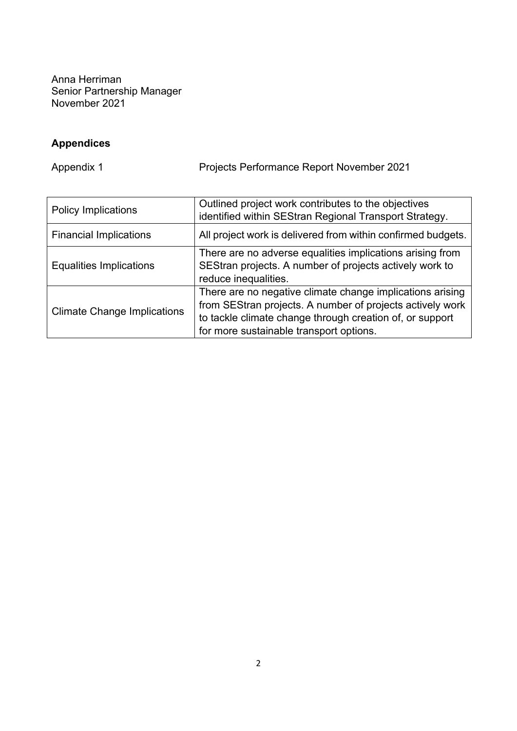Anna Herriman Senior Partnership Manager November 2021

## **Appendices**

Appendix 1 Projects Performance Report November 2021

| <b>Policy Implications</b>         | Outlined project work contributes to the objectives<br>identified within SEStran Regional Transport Strategy.                                                                                                                 |
|------------------------------------|-------------------------------------------------------------------------------------------------------------------------------------------------------------------------------------------------------------------------------|
| <b>Financial Implications</b>      | All project work is delivered from within confirmed budgets.                                                                                                                                                                  |
| <b>Equalities Implications</b>     | There are no adverse equalities implications arising from<br>SEStran projects. A number of projects actively work to<br>reduce inequalities.                                                                                  |
| <b>Climate Change Implications</b> | There are no negative climate change implications arising<br>from SEStran projects. A number of projects actively work<br>to tackle climate change through creation of, or support<br>for more sustainable transport options. |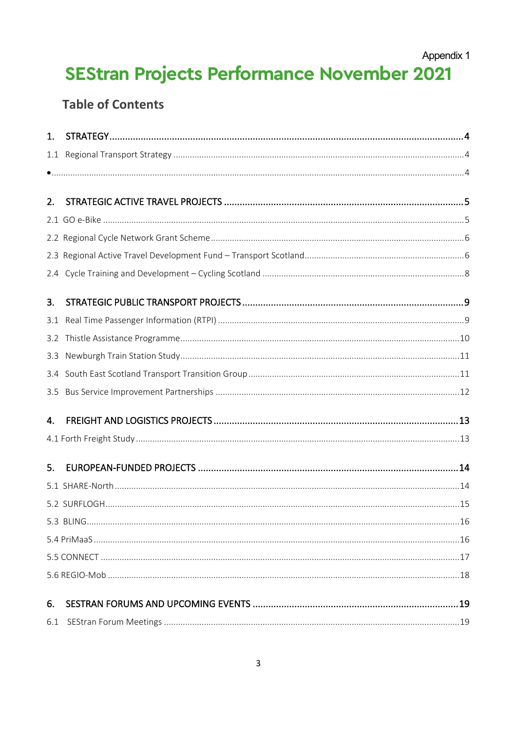Appendix 1

# **SEStran Projects Performance November 2021**

## **Table of Contents**

| 1.  |  |
|-----|--|
| 1.1 |  |
|     |  |
|     |  |
| 2.  |  |
|     |  |
|     |  |
|     |  |
|     |  |
| 3.  |  |
| 3.1 |  |
| 3.2 |  |
| 3.3 |  |
| 3.4 |  |
| 3.5 |  |
| 4.  |  |
|     |  |
| 5.  |  |
|     |  |
|     |  |
|     |  |
|     |  |
|     |  |
|     |  |
| 6.  |  |
|     |  |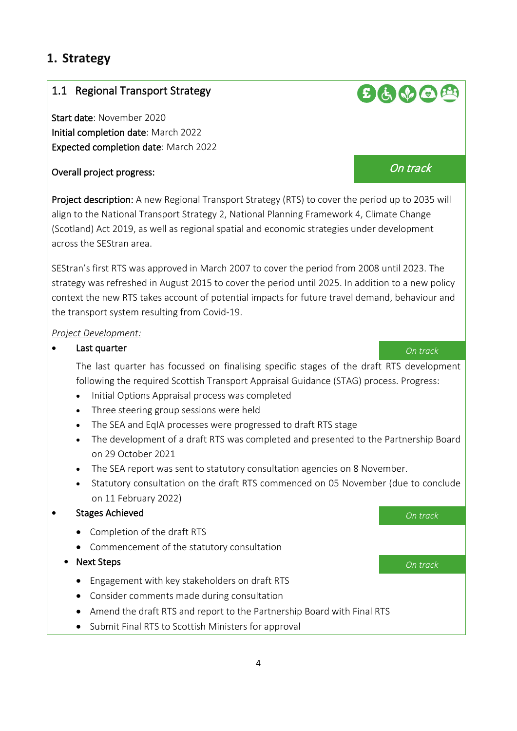## <span id="page-3-0"></span>**1. Strategy**

### <span id="page-3-1"></span>1.1 Regional Transport Strategy

Start date: November 2020 Initial completion date: March 2022 Expected completion date: March 2022

## Overall project progress: On track

Project description: A new Regional Transport Strategy (RTS) to cover the period up to 2035 will align to the National Transport Strategy 2, National Planning Framework 4, Climate Change (Scotland) Act 2019, as well as regional spatial and economic strategies under development across the SEStran area.

SEStran's first RTS was approved in March 2007 to cover the period from 2008 until 2023. The strategy was refreshed in August 2015 to cover the period until 2025. In addition to a new policy context the new RTS takes account of potential impacts for future travel demand, behaviour and the transport system resulting from Covid-19.

#### *Project Development:*

#### • Last quarter *On track*

 The last quarter has focussed on finalising specific stages of the draft RTS development following the required Scottish Transport Appraisal Guidance (STAG) process. Progress:

- Initial Options Appraisal process was completed
- Three steering group sessions were held
- The SEA and EqIA processes were progressed to draft RTS stage
- The development of a draft RTS was completed and presented to the Partnership Board on 29 October 2021
- The SEA report was sent to statutory consultation agencies on 8 November.
- Statutory consultation on the draft RTS commenced on 05 November (due to conclude on 11 February 2022)
- <span id="page-3-2"></span>• Stages Achieved *On track*
	- Completion of the draft RTS
	- Commencement of the statutory consultation
	- Next Steps *On track*
		- Engagement with key stakeholders on draft RTS
		- Consider comments made during consultation
		- Amend the draft RTS and report to the Partnership Board with Final RTS
		- Submit Final RTS to Scottish Ministers for approval

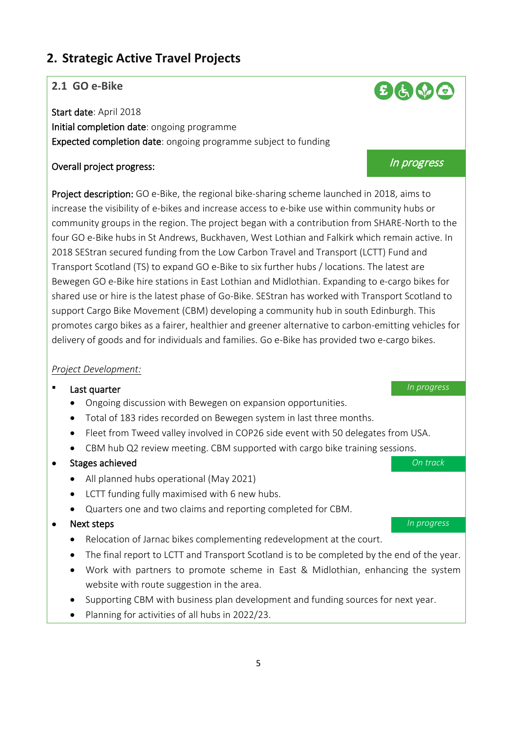## <span id="page-4-0"></span>**2. Strategic Active Travel Projects**

#### <span id="page-4-1"></span>**2.1 GO e-Bike**

Start date: April 2018 Initial completion date: ongoing programme Expected completion date: ongoing programme subject to funding

## Overall project progress: In progress and the set of the set of the set of the set of the set of the set of the set of the set of the set of the set of the set of the set of the set of the set of the set of the set of the

Project description: GO e-Bike, the regional bike-sharing scheme launched in 2018, aims to increase the visibility of e-bikes and increase access to e-bike use within community hubs or community groups in the region. The project began with a contribution from SHARE-North to the four GO e-Bike hubs in St Andrews, Buckhaven, West Lothian and Falkirk which remain active. In 2018 SEStran secured funding from the Low Carbon Travel and Transport (LCTT) Fund and Transport Scotland (TS) to expand GO e-Bike to six further hubs / locations. The latest are Bewegen GO e-Bike hire stations in East Lothian and Midlothian. Expanding to e-cargo bikes for shared use or hire is the latest phase of Go-Bike. SEStran has worked with Transport Scotland to support Cargo Bike Movement (CBM) developing a community hub in south Edinburgh. This promotes cargo bikes as a fairer, healthier and greener alternative to carbon-emitting vehicles for delivery of goods and for individuals and families. Go e-Bike has provided two e-cargo bikes.

#### *Project Development:*

#### **Last quarter In progress**

- Ongoing discussion with Bewegen on expansion opportunities.
- Total of 183 rides recorded on Bewegen system in last three months.
- Fleet from Tweed valley involved in COP26 side event with 50 delegates from USA.
- CBM hub Q2 review meeting. CBM supported with cargo bike training sessions.

#### • Stages achieved *On track*

- All planned hubs operational (May 2021)
- LCTT funding fully maximised with 6 new hubs.
- Quarters one and two claims and reporting completed for CBM.

#### • Next steps *In progress*

- Relocation of Jarnac bikes complementing redevelopment at the court.
- The final report to LCTT and Transport Scotland is to be completed by the end of the year.
- Work with partners to promote scheme in East & Midlothian, enhancing the system website with route suggestion in the area.
- Supporting CBM with business plan development and funding sources for next year.
- Planning for activities of all hubs in 2022/23.

 $B$  the  $O$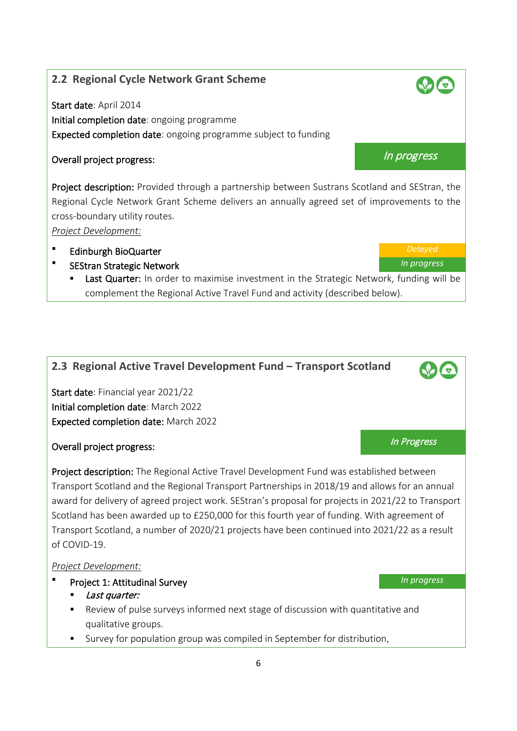### <span id="page-5-0"></span>**2.2 Regional Cycle Network Grant Scheme**

Start date: April 2014 Initial completion date: ongoing programme Expected completion date: ongoing programme subject to funding

## Overall project progress: In progress and the set of the set of the set of the set of the set of the set of the set of the set of the set of the set of the set of the set of the set of the set of the set of the set of the

Project description: Provided through a partnership between Sustrans Scotland and SEStran, the Regional Cycle Network Grant Scheme delivers an annually agreed set of improvements to the cross-boundary utility routes.

*Project Development:*

- Edinburgh BioQuarter *Delayed*
- SEStran Strategic Network *In progress*
	- Last Quarter: In order to maximise investment in the Strategic Network, funding will be complement the Regional Active Travel Fund and activity (described below).

## <span id="page-5-1"></span>**2.3 Regional Active Travel Development Fund – Transport Scotland**

Start date: Financial year 2021/22 Initial completion date: March 2022 Expected completion date: March 2022

## **Overall project progress:** In Progress and Coverall project progress and In Progress and In Progress and In Progress

Project description: The Regional Active Travel Development Fund was established between Transport Scotland and the Regional Transport Partnerships in 2018/19 and allows for an annual award for delivery of agreed project work. SEStran's proposal for projects in 2021/22 to Transport Scotland has been awarded up to £250,000 for this fourth year of funding. With agreement of Transport Scotland, a number of 2020/21 projects have been continued into 2021/22 as a result of COVID-19.

- Project 1: Attitudinal Survey *In progress*
	- **Last quarter:**
	- Review of pulse surveys informed next stage of discussion with quantitative and qualitative groups.
	- Survey for population group was compiled in September for distribution.

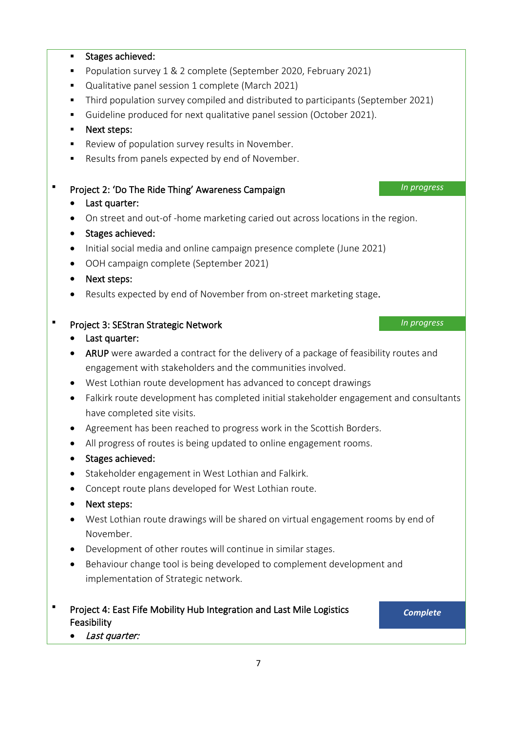## Stages achieved: **Population survey 1 & 2 complete (September 2020, February 2021)**  Qualitative panel session 1 complete (March 2021) Third population survey compiled and distributed to participants (September 2021) Guideline produced for next qualitative panel session (October 2021). **Next steps:** Review of population survey results in November. Results from panels expected by end of November. Project 2: 'Do The Ride Thing' Awareness Campaign **Interval 2. In progress** • Last quarter: • On street and out-of -home marketing caried out across locations in the region. • Stages achieved: • Initial social media and online campaign presence complete (June 2021) • OOH campaign complete (September 2021) • Next steps: • Results expected by end of November from on-street marketing stage. Project 3: SEStran Strategic Network *In progress* • Last quarter: • ARUP were awarded a contract for the delivery of a package of feasibility routes and engagement with stakeholders and the communities involved. • West Lothian route development has advanced to concept drawings • Falkirk route development has completed initial stakeholder engagement and consultants

- Agreement has been reached to progress work in the Scottish Borders.
- All progress of routes is being updated to online engagement rooms.
- Stages achieved:

have completed site visits.

- Stakeholder engagement in West Lothian and Falkirk.
- Concept route plans developed for West Lothian route.
- Next steps:
- West Lothian route drawings will be shared on virtual engagement rooms by end of November.
- Development of other routes will continue in similar stages.
- Behaviour change tool is being developed to complement development and implementation of Strategic network.
- Project 4: East Fife Mobility Hub Integration and Last Mile Logistics Feasibility *Complete*

• Last quarter: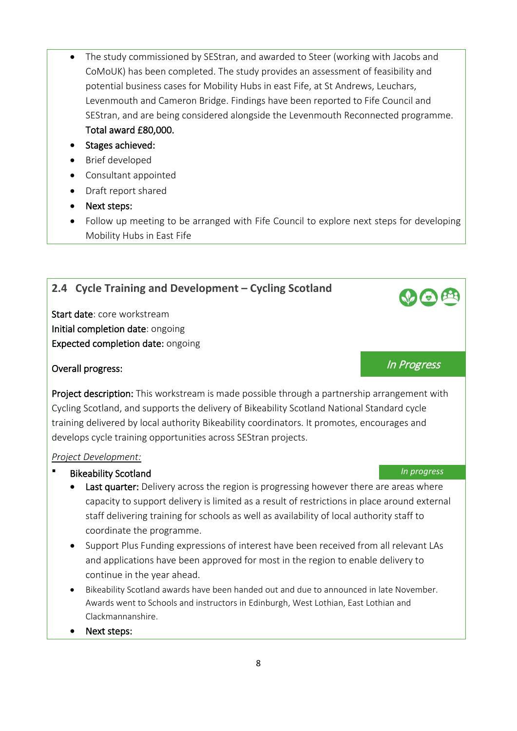- The study commissioned by SEStran, and awarded to Steer (working with Jacobs and CoMoUK) has been completed. The study provides an assessment of feasibility and potential business cases for Mobility Hubs in east Fife, at St Andrews, Leuchars, Levenmouth and Cameron Bridge. Findings have been reported to Fife Council and SEStran, and are being considered alongside the Levenmouth Reconnected programme. Total award £80,000.
- Stages achieved:
- Brief developed
- Consultant appointed
- Draft report shared
- Next steps:
- Follow up meeting to be arranged with Fife Council to explore next steps for developing Mobility Hubs in East Fife

#### <span id="page-7-0"></span>**2.4 Cycle Training and Development – Cycling Scotland**

Start date: core workstream Initial completion date: ongoing Expected completion date: ongoing

## **Overall progress:** In Progress:

Project description: This workstream is made possible through a partnership arrangement with Cycling Scotland, and supports the delivery of Bikeability Scotland National Standard cycle training delivered by local authority Bikeability coordinators. It promotes, encourages and develops cycle training opportunities across SEStran projects.

- Bikeability Scotland *In progress*
	- Last quarter: Delivery across the region is progressing however there are areas where capacity to support delivery is limited as a result of restrictions in place around external staff delivering training for schools as well as availability of local authority staff to coordinate the programme.
	- Support Plus Funding expressions of interest have been received from all relevant LAs and applications have been approved for most in the region to enable delivery to continue in the year ahead.
	- Bikeability Scotland awards have been handed out and due to announced in late November. Awards went to Schools and instructors in Edinburgh, West Lothian, East Lothian and Clackmannanshire.
	- Next steps: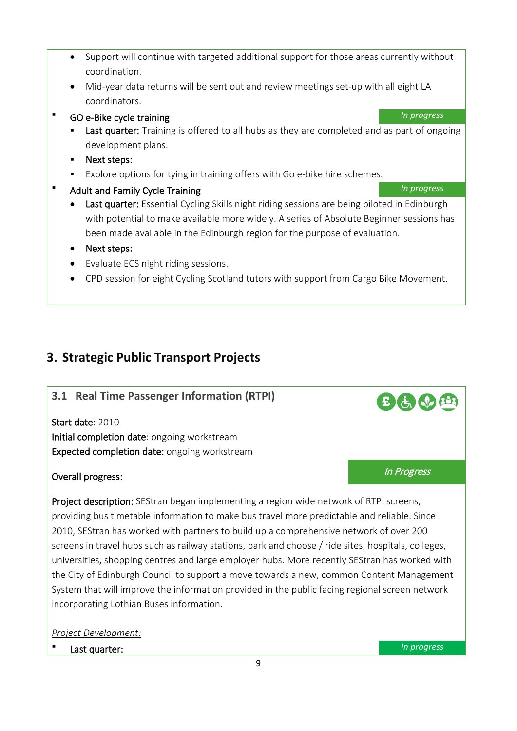- Support will continue with targeted additional support for those areas currently without coordination.
- Mid-year data returns will be sent out and review meetings set-up with all eight LA coordinators.
- GO e-Bike cycle training *In progress*
	- Last quarter: Training is offered to all hubs as they are completed and as part of ongoing development plans.
	- **Next steps:**
	- Explore options for tying in training offers with Go e-bike hire schemes.
- Adult and Family Cycle Training *In progress* 
	- Last quarter: Essential Cycling Skills night riding sessions are being piloted in Edinburgh with potential to make available more widely. A series of Absolute Beginner sessions has been made available in the Edinburgh region for the purpose of evaluation.
	- Next steps:
	- Evaluate ECS night riding sessions.
	- CPD session for eight Cycling Scotland tutors with support from Cargo Bike Movement.

## <span id="page-8-0"></span>**3. Strategic Public Transport Projects**

#### <span id="page-8-1"></span>**3.1 Real Time Passenger Information (RTPI)**

Start date: 2010 Initial completion date: ongoing workstream Expected completion date: ongoing workstream

## **Overall progress:** In Progress: In Progress and Intervention of the *In Progress*

Project description: SEStran began implementing a region wide network of RTPI screens, providing bus timetable information to make bus travel more predictable and reliable. Since 2010, SEStran has worked with partners to build up a comprehensive network of over 200 screens in travel hubs such as railway stations, park and choose / ride sites, hospitals, colleges, universities, shopping centres and large employer hubs. More recently SEStran has worked with the City of Edinburgh Council to support a move towards a new, common Content Management System that will improve the information provided in the public facing regional screen network incorporating Lothian Buses information.

#### *Project Development:*

Last quarter: *In progress*

 $E$   $\bigoplus$   $\bigoplus$   $E$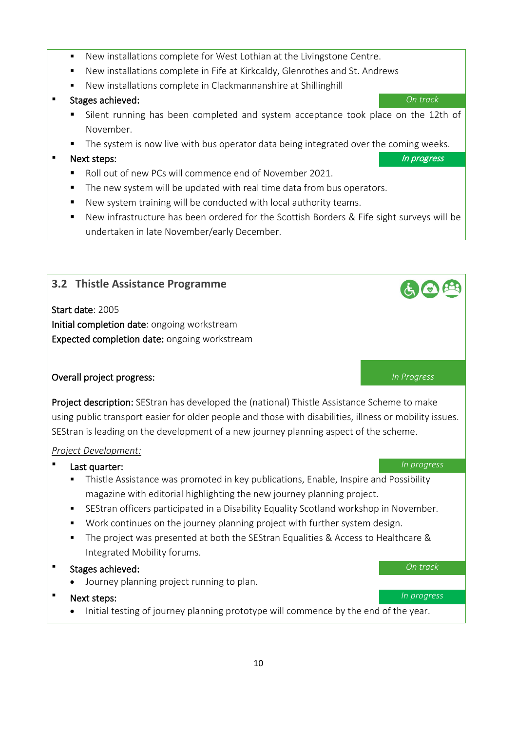- New installations complete for West Lothian at the Livingstone Centre.
- New installations complete in Fife at Kirkcaldy, Glenrothes and St. Andrews
- New installations complete in Clackmannanshire at Shillinghill

#### Stages achieved: *On track*

- Silent running has been completed and system acceptance took place on the 12th of November.
- The system is now live with bus operator data being integrated over the coming weeks.

#### Next steps: In progress and the step step in the step step step in the step step in progress and the step step in the step step in the step step in the step in the step step in the step in the step in the step in the step

- Roll out of new PCs will commence end of November 2021.
- The new system will be updated with real time data from bus operators.
- New system training will be conducted with local authority teams.
- New infrastructure has been ordered for the Scottish Borders & Fife sight surveys will be undertaken in late November/early December.

#### <span id="page-9-0"></span>**3.2 Thistle Assistance Programme**

Start date: 2005 Initial completion date: ongoing workstream Expected completion date: ongoing workstream

#### Overall project progress: *In Progress*

Project description: SEStran has developed the (national) Thistle Assistance Scheme to make using public transport easier for older people and those with disabilities, illness or mobility issues. SEStran is leading on the development of a new journey planning aspect of the scheme.

#### *Project Development:*

#### **Last quarter:** *In progress*

- Thistle Assistance was promoted in key publications, Enable, Inspire and Possibility magazine with editorial highlighting the new journey planning project.
- SEStran officers participated in a Disability Equality Scotland workshop in November.
- Work continues on the journey planning project with further system design.
- The project was presented at both the SEStran Equalities & Access to Healthcare & Integrated Mobility forums.
- Stages achieved: *On track*
	- Journey planning project running to plan.
- Next steps: *In progress*
	- Initial testing of journey planning prototype will commence by the end of the year.

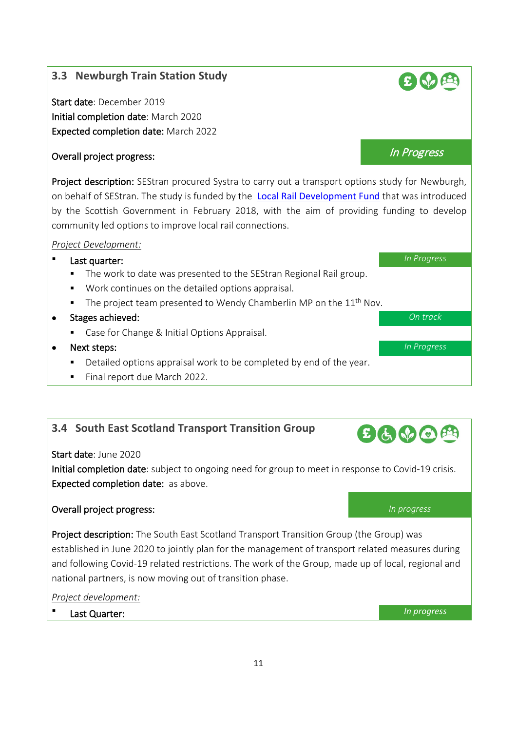#### <span id="page-10-0"></span>**3.3 Newburgh Train Station Study**

Start date: December 2019 Initial completion date: March 2020 Expected completion date: March 2022

## Overall project progress: In Progress and the United States of the United States of the United States of the U

Project description: SEStran procured Systra to carry out a transport options study for Newburgh, on behalf of SEStran. The study is funded by the [Local Rail Development Fund](https://www.transport.gov.scot/public-transport/rail/rail-policy-and-strategy/local-rail-development-fund/) that was introduced by the Scottish Government in February 2018, with the aim of providing funding to develop community led options to improve local rail connections.

#### *Project Development:*

#### **Last quarter:** *In Progress*

- The work to date was presented to the SEStran Regional Rail group.
- Work continues on the detailed options appraisal.
- The project team presented to Wendy Chamberlin MP on the  $11<sup>th</sup>$  Nov.
- Stages achieved: *On track*
	- **Case for Change & Initial Options Appraisal.**
- Next steps: *In Progress*
	- Detailed options appraisal work to be completed by end of the year.
	- Final report due March 2022.

## <span id="page-10-1"></span>**3.4 South East Scotland Transport Transition Group**

#### Start date: June 2020

Initial completion date: subject to ongoing need for group to meet in response to Covid-19 crisis. Expected completion date: as above.

#### Overall project progress: *In progress*

Project description: The South East Scotland Transport Transition Group (the Group) was established in June 2020 to jointly plan for the management of transport related measures during and following Covid-19 related restrictions. The work of the Group, made up of local, regional and national partners, is now moving out of transition phase.

*Project development:*

Last Quarter: *In progress*





 $E(1)$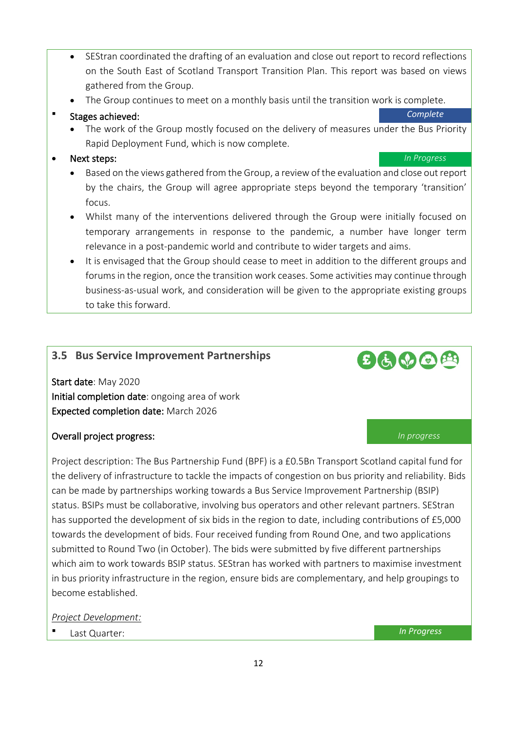- SEStran coordinated the drafting of an evaluation and close out report to record reflections on the South East of Scotland Transport Transition Plan. This report was based on views gathered from the Group.
- The Group continues to meet on a monthly basis until the transition work is complete.

#### Stages achieved: *Complete*

• The work of the Group mostly focused on the delivery of measures under the Bus Priority Rapid Deployment Fund, which is now complete.

#### • Next steps: *In Progress*

- Based on the views gathered from the Group, a review of the evaluation and close out report by the chairs, the Group will agree appropriate steps beyond the temporary 'transition' focus.
- Whilst many of the interventions delivered through the Group were initially focused on temporary arrangements in response to the pandemic, a number have longer term relevance in a post-pandemic world and contribute to wider targets and aims.
- It is envisaged that the Group should cease to meet in addition to the different groups and forums in the region, once the transition work ceases. Some activities may continue through business-as-usual work, and consideration will be given to the appropriate existing groups to take this forward.

#### <span id="page-11-0"></span>**3.5 Bus Service Improvement Partnerships**

Start date: May 2020 Initial completion date: ongoing area of work Expected completion date: March 2026

#### Overall project progress: *In progress*

Project description: The Bus Partnership Fund (BPF) is a £0.5Bn Transport Scotland capital fund for the delivery of infrastructure to tackle the impacts of congestion on bus priority and reliability. Bids can be made by partnerships working towards a Bus Service Improvement Partnership (BSIP) status. BSIPs must be collaborative, involving bus operators and other relevant partners. SEStran has supported the development of six bids in the region to date, including contributions of £5,000 towards the development of bids. Four received funding from Round One, and two applications submitted to Round Two (in October). The bids were submitted by five different partnerships which aim to work towards BSIP status. SEStran has worked with partners to maximise investment in bus priority infrastructure in the region, ensure bids are complementary, and help groupings to become established.

#### *Project Development:*

**Last Quarter: In Progress In Progress** 

12

 $E$  to  $\Omega$   $\oplus$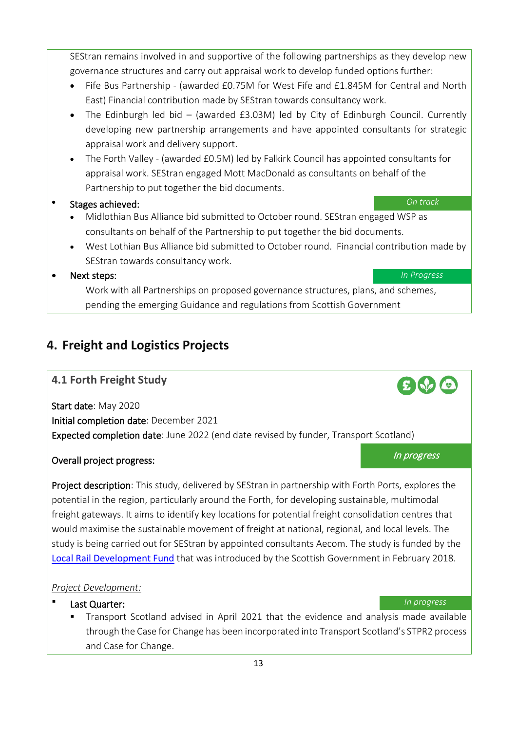13

SEStran remains involved in and supportive of the following partnerships as they develop new governance structures and carry out appraisal work to develop funded options further:

- Fife Bus Partnership (awarded £0.75M for West Fife and £1.845M for Central and North East) Financial contribution made by SEStran towards consultancy work.
- The Edinburgh led bid (awarded £3.03M) led by City of Edinburgh Council. Currently developing new partnership arrangements and have appointed consultants for strategic appraisal work and delivery support.
- The Forth Valley (awarded £0.5M) led by Falkirk Council has appointed consultants for appraisal work. SEStran engaged Mott MacDonald as consultants on behalf of the Partnership to put together the bid documents.
- Stages achieved: *On track*
	- Midlothian Bus Alliance bid submitted to October round. SEStran engaged WSP as consultants on behalf of the Partnership to put together the bid documents.
	- West Lothian Bus Alliance bid submitted to October round. Financial contribution made by SEStran towards consultancy work.

• Next steps: *In Progress*

Work with all Partnerships on proposed governance structures, plans, and schemes, pending the emerging Guidance and regulations from Scottish Government

## <span id="page-12-0"></span>**4. Freight and Logistics Projects**

## <span id="page-12-1"></span>**4.1 Forth Freight Study**

Start date: May 2020 Initial completion date: December 2021 Expected completion date: June 2022 (end date revised by funder, Transport Scotland)

## Overall project progress: In progress and the set of the set of the set of the set of the set of the set of the set of the set of the set of the set of the set of the set of the set of the set of the set of the set of the

Project description: This study, delivered by SEStran in partnership with Forth Ports, explores the potential in the region, particularly around the Forth, for developing sustainable, multimodal freight gateways. It aims to identify key locations for potential freight consolidation centres that would maximise the sustainable movement of freight at national, regional, and local levels. The study is being carried out for SEStran by appointed consultants Aecom. The study is funded by the [Local Rail Development Fund](https://www.transport.gov.scot/public-transport/rail/rail-policy-and-strategy/local-rail-development-fund/) that was introduced by the Scottish Government in February 2018.

- **Last Quarter:** *In progress* 
	- Transport Scotland advised in April 2021 that the evidence and analysis made available through the Case for Change has been incorporated into Transport Scotland's STPR2 process and Case for Change.

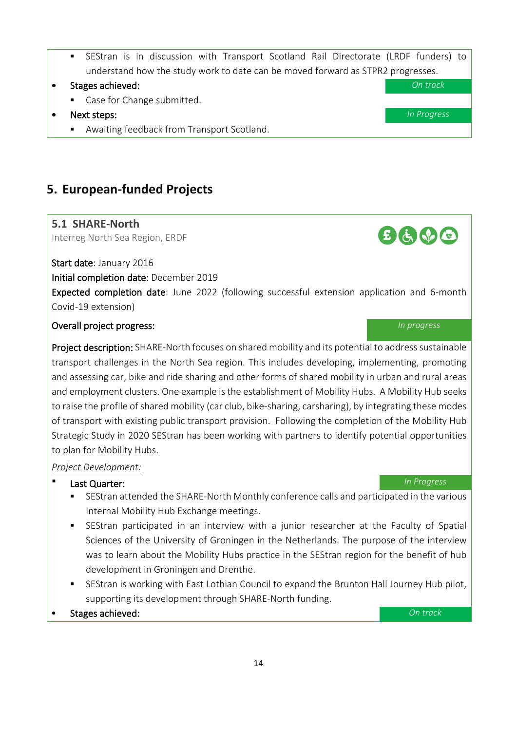- SEStran is in discussion with Transport Scotland Rail Directorate (LRDF funders) to understand how the study work to date can be moved forward as STPR2 progresses.
- Stages achieved: *On track*
	- Case for Change submitted.
- Next steps: *In Progress*
	- **Awaiting feedback from Transport Scotland.**

## <span id="page-13-0"></span>**5. European-funded Projects**

#### <span id="page-13-1"></span>**5.1 SHARE-North**

Interreg North Sea Region, ERDF

Start date: January 2016

Initial completion date: December 2019

Expected completion date: June 2022 (following successful extension application and 6-month Covid-19 extension)

#### Overall project progress: *In progress*

Project description: SHARE-North focuses on shared mobility and its potential to address sustainable transport challenges in the North Sea region. This includes developing, implementing, promoting and assessing car, bike and ride sharing and other forms of shared mobility in urban and rural areas and employment clusters. One example is the establishment of Mobility Hubs. A Mobility Hub seeks to raise the profile of shared mobility (car club, bike-sharing, carsharing), by integrating these modes of transport with existing public transport provision. Following the completion of the Mobility Hub Strategic Study in 2020 SEStran has been working with partners to identify potential opportunities to plan for Mobility Hubs.

- Last Quarter: *In Progress*
	- SEStran attended the SHARE-North Monthly conference calls and participated in the various Internal Mobility Hub Exchange meetings.
	- SEStran participated in an interview with a junior researcher at the Faculty of Spatial Sciences of the University of Groningen in the Netherlands. The purpose of the interview was to learn about the Mobility Hubs practice in the SEStran region for the benefit of hub development in Groningen and Drenthe.
	- SEStran is working with East Lothian Council to expand the Brunton Hall Journey Hub pilot, supporting its development through SHARE-North funding.
- Stages achieved: *On track*

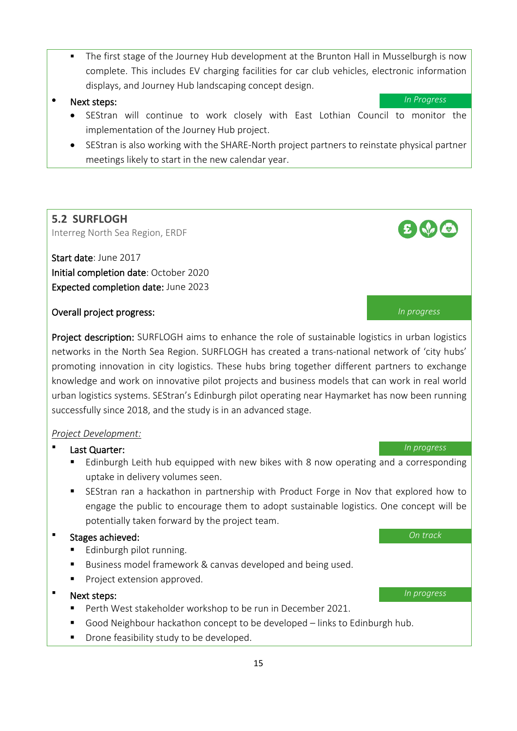- The first stage of the Journey Hub development at the Brunton Hall in Musselburgh is now complete. This includes EV charging facilities for car club vehicles, electronic information displays, and Journey Hub landscaping concept design.
- Next steps: *In Progress*
	- SEStran will continue to work closely with East Lothian Council to monitor the implementation of the Journey Hub project.
	- SEStran is also working with the SHARE-North project partners to reinstate physical partner meetings likely to start in the new calendar year.

### <span id="page-14-0"></span>**5.2 SURFLOGH**

Interreg North Sea Region, ERDF

Start date: June 2017 Initial completion date: October 2020 Expected completion date: June 2023

#### Overall project progress: *In progress*

Project description: SURFLOGH aims to enhance the role of sustainable logistics in urban logistics networks in the North Sea Region. SURFLOGH has created a trans-national network of 'city hubs' promoting innovation in city logistics. These hubs bring together different partners to exchange knowledge and work on innovative pilot projects and business models that can work in real world urban logistics systems. SEStran's Edinburgh pilot operating near Haymarket has now been running successfully since 2018, and the study is in an advanced stage.

#### *Project Development:*

#### Last Quarter: *In progress*

- **Edinburgh Leith hub equipped with new bikes with 8 now operating and a corresponding** uptake in delivery volumes seen.
- SEStran ran a hackathon in partnership with Product Forge in Nov that explored how to engage the public to encourage them to adopt sustainable logistics. One concept will be potentially taken forward by the project team.

#### Stages achieved: *On track*

- **Edinburgh pilot running.**
- Business model framework & canvas developed and being used.
- **Project extension approved.**

#### Next steps: *In progress*

- Perth West stakeholder workshop to be run in December 2021.
- Good Neighbour hackathon concept to be developed links to Edinburgh hub.
- **Drone feasibility study to be developed.**

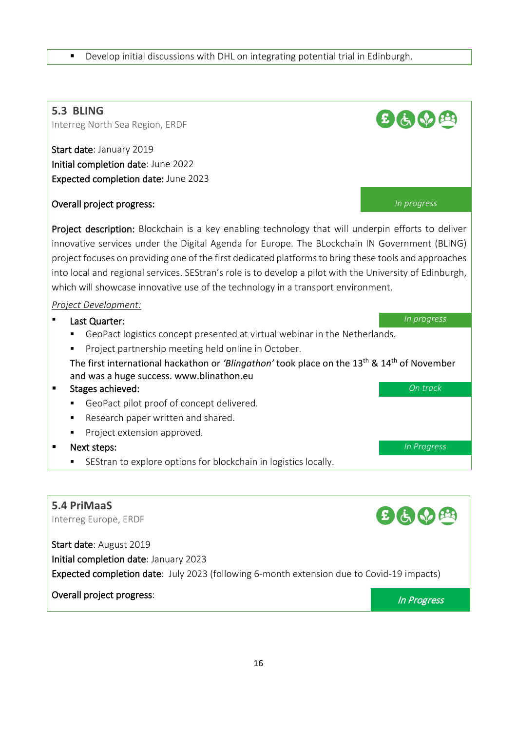#### Develop initial discussions with DHL on integrating potential trial in Edinburgh.

<span id="page-15-0"></span>

<span id="page-15-1"></span>Expected completion date: July 2023 (following 6-month extension due to Covid-19 impacts)

## Overall project progress: Intervalse and the contract of the contract of the contract of the contract of the contract of the contract of the contract of the contract of the contract of the contract of the contract of the c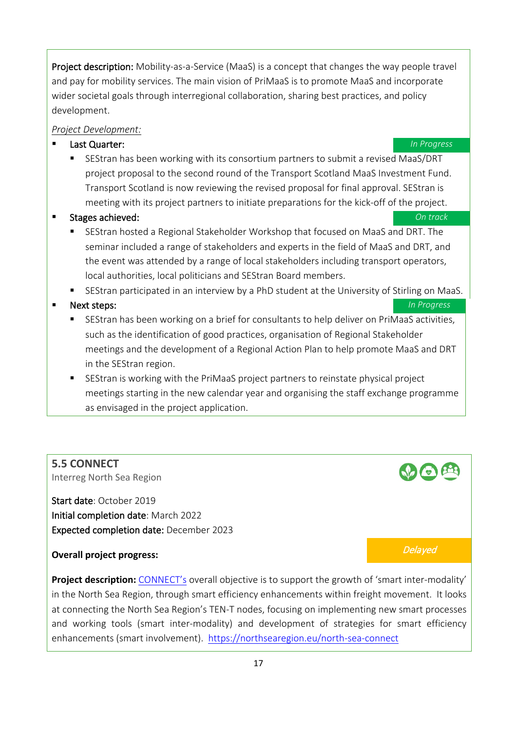Project description: Mobility-as-a-Service (MaaS) is a concept that changes the way people travel and pay for mobility services. The main vision of PriMaaS is to promote MaaS and incorporate wider societal goals through interregional collaboration, sharing best practices, and policy development.

#### *Project Development:*

#### Last Quarter: *In Progress*

 SEStran has been working with its consortium partners to submit a revised MaaS/DRT project proposal to the second round of the Transport Scotland MaaS Investment Fund. Transport Scotland is now reviewing the revised proposal for final approval. SEStran is meeting with its project partners to initiate preparations for the kick-off of the project.

#### Stages achieved: *On track*

- SEStran hosted a Regional Stakeholder Workshop that focused on MaaS and DRT. The seminar included a range of stakeholders and experts in the field of MaaS and DRT, and the event was attended by a range of local stakeholders including transport operators, local authorities, local politicians and SEStran Board members.
- SEStran participated in an interview by a PhD student at the University of Stirling on MaaS.

#### ■ Next steps: **In Progress**

- SEStran has been working on a brief for consultants to help deliver on PriMaaS activities, such as the identification of good practices, organisation of Regional Stakeholder meetings and the development of a Regional Action Plan to help promote MaaS and DRT in the SEStran region.
- SEStran is working with the PriMaaS project partners to reinstate physical project meetings starting in the new calendar year and organising the staff exchange programme as envisaged in the project application.

## <span id="page-16-0"></span>**5.5 CONNECT**

Interreg North Sea Region

Start date: October 2019 Initial completion date: March 2022 Expected completion date: December 2023

## **Overall project progress:** Delayed

**Project description:** [CONNECT's](https://northsearegion.eu/north-sea-connect) overall objective is to support the growth of 'smart inter-modality' in the North Sea Region, through smart efficiency enhancements within freight movement. It looks at connecting the North Sea Region's TEN-T nodes, focusing on implementing new smart processes and working tools (smart inter-modality) and development of strategies for smart efficiency enhancements (smart involvement). <https://northsearegion.eu/north-sea-connect>

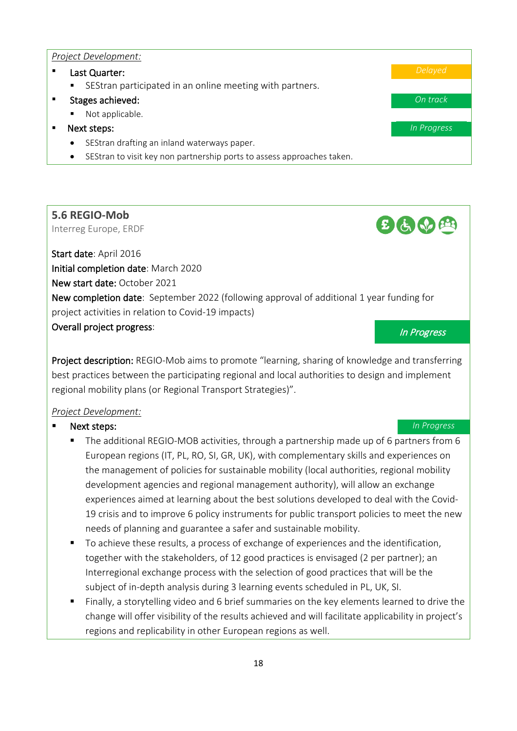#### *Project Development:*

- Last Quarter: *Delayed*
	- SEStran participated in an online meeting with partners.

#### Stages achieved: *On track*

- **Not applicable.**
- Next steps: *In Progress*
	- SEStran drafting an inland waterways paper.
	- SEStran to visit key non partnership ports to assess approaches taken.

## <span id="page-17-0"></span>**5.6 REGIO-Mob**

Interreg Europe, ERDF

Start date: April 2016 Initial completion date: March 2020 New start date: October 2021 New completion date: September 2022 (following approval of additional 1 year funding for project activities in relation to Covid-19 impacts) **Overall project progress:** In Progress and Coverall project progress and Coveral Progress and Coveral Progress

 $E(e, e)$ 

Project description: REGIO-Mob aims to promote "learning, sharing of knowledge and transferring best practices between the participating regional and local authorities to design and implement regional mobility plans (or Regional Transport Strategies)".

#### *Project Development:*

#### **Next steps: In Progress**

- The additional REGIO-MOB activities, through a partnership made up of 6 partners from 6 European regions (IT, PL, RO, SI, GR, UK), with complementary skills and experiences on the management of policies for sustainable mobility (local authorities, regional mobility development agencies and regional management authority), will allow an exchange experiences aimed at learning about the best solutions developed to deal with the Covid-19 crisis and to improve 6 policy instruments for public transport policies to meet the new needs of planning and guarantee a safer and sustainable mobility.
- To achieve these results, a process of exchange of experiences and the identification, together with the stakeholders, of 12 good practices is envisaged (2 per partner); an Interregional exchange process with the selection of good practices that will be the subject of in-depth analysis during 3 learning events scheduled in PL, UK, SI.
- Finally, a storytelling video and 6 brief summaries on the key elements learned to drive the change will offer visibility of the results achieved and will facilitate applicability in project's regions and replicability in other European regions as well.